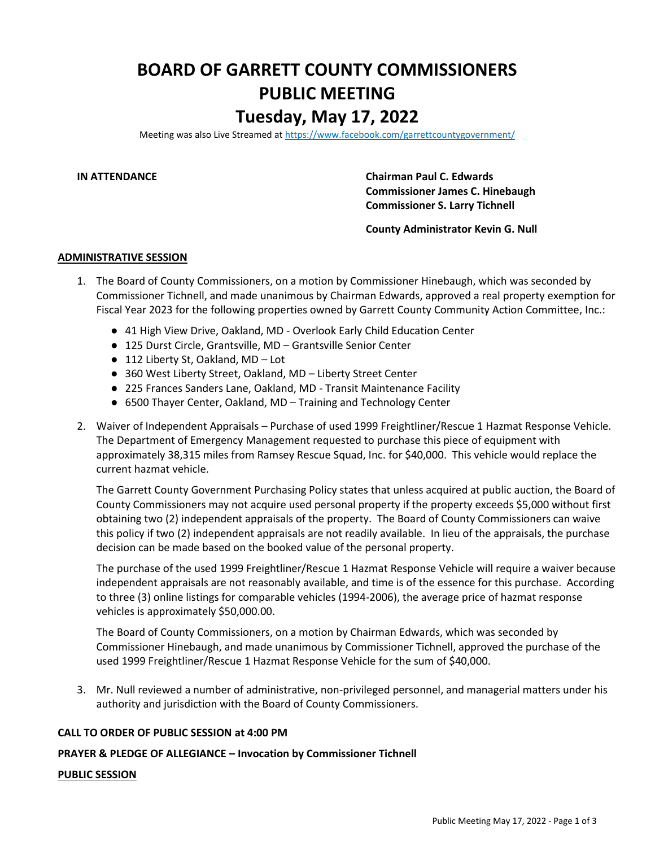## **BOARD OF GARRETT COUNTY COMMISSIONERS PUBLIC MEETING**

### **Tuesday, May 17, 2022**

Meeting was also Live Streamed a[t https://www.facebook.com/garrettcountygovernment/](https://www.facebook.com/garrettcountygovernment/)

**IN ATTENDANCE Chairman Paul C. Edwards Commissioner James C. Hinebaugh Commissioner S. Larry Tichnell**

#### **County Administrator Kevin G. Null**

#### **ADMINISTRATIVE SESSION**

- 1. The Board of County Commissioners, on a motion by Commissioner Hinebaugh, which was seconded by Commissioner Tichnell, and made unanimous by Chairman Edwards, approved a real property exemption for Fiscal Year 2023 for the following properties owned by Garrett County Community Action Committee, Inc.:
	- 41 High View Drive, Oakland, MD Overlook Early Child Education Center
	- 125 Durst Circle, Grantsville, MD Grantsville Senior Center
	- 112 Liberty St, Oakland, MD Lot
	- 360 West Liberty Street, Oakland, MD Liberty Street Center
	- 225 Frances Sanders Lane, Oakland, MD Transit Maintenance Facility
	- 6500 Thayer Center, Oakland, MD Training and Technology Center
- 2. Waiver of Independent Appraisals Purchase of used 1999 Freightliner/Rescue 1 Hazmat Response Vehicle. The Department of Emergency Management requested to purchase this piece of equipment with approximately 38,315 miles from Ramsey Rescue Squad, Inc. for \$40,000. This vehicle would replace the current hazmat vehicle.

The Garrett County Government Purchasing Policy states that unless acquired at public auction, the Board of County Commissioners may not acquire used personal property if the property exceeds \$5,000 without first obtaining two (2) independent appraisals of the property. The Board of County Commissioners can waive this policy if two (2) independent appraisals are not readily available. In lieu of the appraisals, the purchase decision can be made based on the booked value of the personal property.

The purchase of the used 1999 Freightliner/Rescue 1 Hazmat Response Vehicle will require a waiver because independent appraisals are not reasonably available, and time is of the essence for this purchase. According to three (3) online listings for comparable vehicles (1994-2006), the average price of hazmat response vehicles is approximately \$50,000.00.

The Board of County Commissioners, on a motion by Chairman Edwards, which was seconded by Commissioner Hinebaugh, and made unanimous by Commissioner Tichnell, approved the purchase of the used 1999 Freightliner/Rescue 1 Hazmat Response Vehicle for the sum of \$40,000.

3. Mr. Null reviewed a number of administrative, non-privileged personnel, and managerial matters under his authority and jurisdiction with the Board of County Commissioners.

#### **CALL TO ORDER OF PUBLIC SESSION at 4:00 PM**

#### **PRAYER & PLEDGE OF ALLEGIANCE – Invocation by Commissioner Tichnell**

#### **PUBLIC SESSION**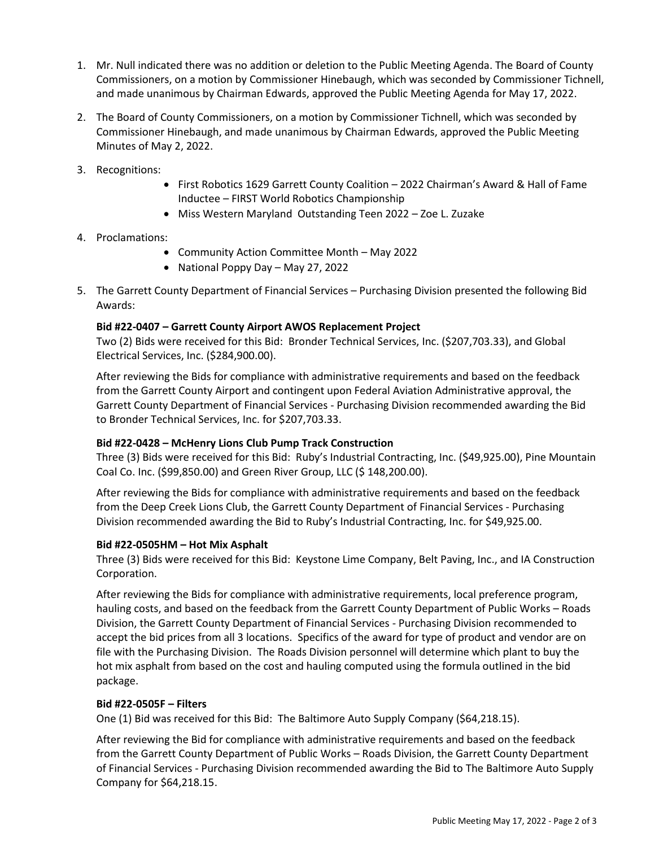- 1. Mr. Null indicated there was no addition or deletion to the Public Meeting Agenda. The Board of County Commissioners, on a motion by Commissioner Hinebaugh, which was seconded by Commissioner Tichnell, and made unanimous by Chairman Edwards, approved the Public Meeting Agenda for May 17, 2022.
- 2. The Board of County Commissioners, on a motion by Commissioner Tichnell, which was seconded by Commissioner Hinebaugh, and made unanimous by Chairman Edwards, approved the Public Meeting Minutes of May 2, 2022.
- 3. Recognitions:
	- First Robotics 1629 Garrett County Coalition 2022 Chairman's Award & Hall of Fame Inductee – FIRST World Robotics Championship
	- Miss Western Maryland Outstanding Teen 2022 Zoe L. Zuzake
- 4. Proclamations:
	- Community Action Committee Month May 2022
	- National Poppy Day May 27, 2022
- 5. The Garrett County Department of Financial Services Purchasing Division presented the following Bid Awards:

#### **Bid #22-0407 – Garrett County Airport AWOS Replacement Project**

Two (2) Bids were received for this Bid: Bronder Technical Services, Inc. (\$207,703.33), and Global Electrical Services, Inc. (\$284,900.00).

After reviewing the Bids for compliance with administrative requirements and based on the feedback from the Garrett County Airport and contingent upon Federal Aviation Administrative approval, the Garrett County Department of Financial Services - Purchasing Division recommended awarding the Bid to Bronder Technical Services, Inc. for \$207,703.33.

#### **Bid #22-0428 – McHenry Lions Club Pump Track Construction**

Three (3) Bids were received for this Bid: Ruby's Industrial Contracting, Inc. (\$49,925.00), Pine Mountain Coal Co. Inc. (\$99,850.00) and Green River Group, LLC (\$ 148,200.00).

After reviewing the Bids for compliance with administrative requirements and based on the feedback from the Deep Creek Lions Club, the Garrett County Department of Financial Services - Purchasing Division recommended awarding the Bid to Ruby's Industrial Contracting, Inc. for \$49,925.00.

#### **Bid #22-0505HM – Hot Mix Asphalt**

Three (3) Bids were received for this Bid: Keystone Lime Company, Belt Paving, Inc., and IA Construction Corporation.

After reviewing the Bids for compliance with administrative requirements, local preference program, hauling costs, and based on the feedback from the Garrett County Department of Public Works – Roads Division, the Garrett County Department of Financial Services - Purchasing Division recommended to accept the bid prices from all 3 locations. Specifics of the award for type of product and vendor are on file with the Purchasing Division. The Roads Division personnel will determine which plant to buy the hot mix asphalt from based on the cost and hauling computed using the formula outlined in the bid package.

#### **Bid #22-0505F – Filters**

One (1) Bid was received for this Bid: The Baltimore Auto Supply Company (\$64,218.15).

After reviewing the Bid for compliance with administrative requirements and based on the feedback from the Garrett County Department of Public Works – Roads Division, the Garrett County Department of Financial Services - Purchasing Division recommended awarding the Bid to The Baltimore Auto Supply Company for \$64,218.15.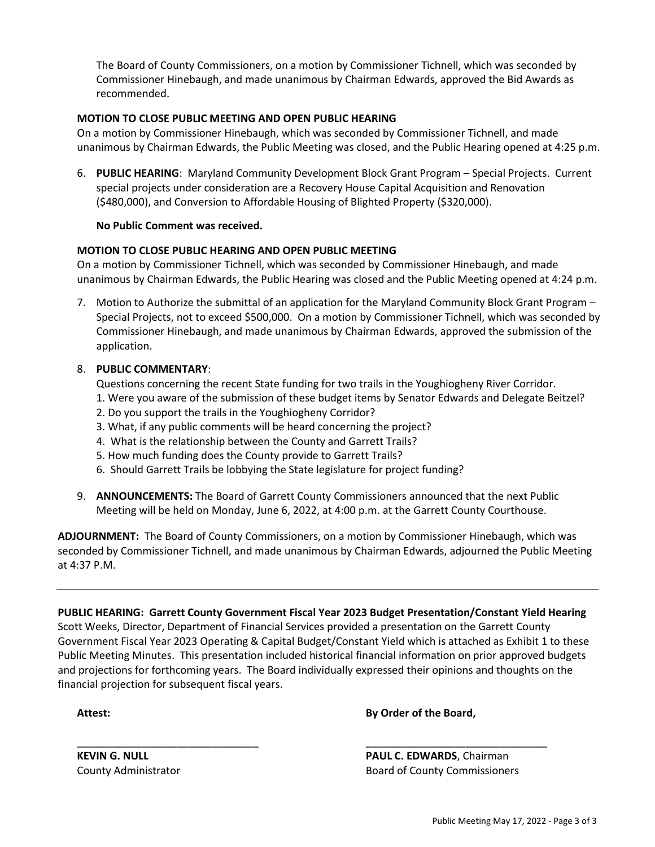The Board of County Commissioners, on a motion by Commissioner Tichnell, which was seconded by Commissioner Hinebaugh, and made unanimous by Chairman Edwards, approved the Bid Awards as recommended.

#### **MOTION TO CLOSE PUBLIC MEETING AND OPEN PUBLIC HEARING**

On a motion by Commissioner Hinebaugh, which was seconded by Commissioner Tichnell, and made unanimous by Chairman Edwards, the Public Meeting was closed, and the Public Hearing opened at 4:25 p.m.

6. **PUBLIC HEARING**: Maryland Community Development Block Grant Program – Special Projects. Current special projects under consideration are a Recovery House Capital Acquisition and Renovation (\$480,000), and Conversion to Affordable Housing of Blighted Property (\$320,000).

#### **No Public Comment was received.**

#### **MOTION TO CLOSE PUBLIC HEARING AND OPEN PUBLIC MEETING**

On a motion by Commissioner Tichnell, which was seconded by Commissioner Hinebaugh, and made unanimous by Chairman Edwards, the Public Hearing was closed and the Public Meeting opened at 4:24 p.m.

7. Motion to Authorize the submittal of an application for the Maryland Community Block Grant Program -Special Projects, not to exceed \$500,000. On a motion by Commissioner Tichnell, which was seconded by Commissioner Hinebaugh, and made unanimous by Chairman Edwards, approved the submission of the application.

#### 8. **PUBLIC COMMENTARY**:

Questions concerning the recent State funding for two trails in the Youghiogheny River Corridor.

- 1. Were you aware of the submission of these budget items by Senator Edwards and Delegate Beitzel?
- 2. Do you support the trails in the Youghiogheny Corridor?
- 3. What, if any public comments will be heard concerning the project?
- 4. What is the relationship between the County and Garrett Trails?
- 5. How much funding does the County provide to Garrett Trails?
- 6. Should Garrett Trails be lobbying the State legislature for project funding?
- 9. **ANNOUNCEMENTS:** The Board of Garrett County Commissioners announced that the next Public Meeting will be held on Monday, June 6, 2022, at 4:00 p.m. at the Garrett County Courthouse.

**ADJOURNMENT:** The Board of County Commissioners, on a motion by Commissioner Hinebaugh, which was seconded by Commissioner Tichnell, and made unanimous by Chairman Edwards, adjourned the Public Meeting at 4:37 P.M.

**PUBLIC HEARING: Garrett County Government Fiscal Year 2023 Budget Presentation/Constant Yield Hearing** Scott Weeks, Director, Department of Financial Services provided a presentation on the Garrett County Government Fiscal Year 2023 Operating & Capital Budget/Constant Yield which is attached as Exhibit 1 to these Public Meeting Minutes. This presentation included historical financial information on prior approved budgets and projections for forthcoming years. The Board individually expressed their opinions and thoughts on the financial projection for subsequent fiscal years.

\_\_\_\_\_\_\_\_\_\_\_\_\_\_\_\_\_\_\_\_\_\_\_\_\_\_\_\_\_\_\_ \_\_\_\_\_\_\_\_\_\_\_\_\_\_\_\_\_\_\_\_\_\_\_\_\_\_\_\_\_\_\_

**Attest: By Order of the Board,**

**KEVIN G. NULL PAUL C. EDWARDS**, Chairman County Administrator **Board of County Commissioners** Board of County Commissioners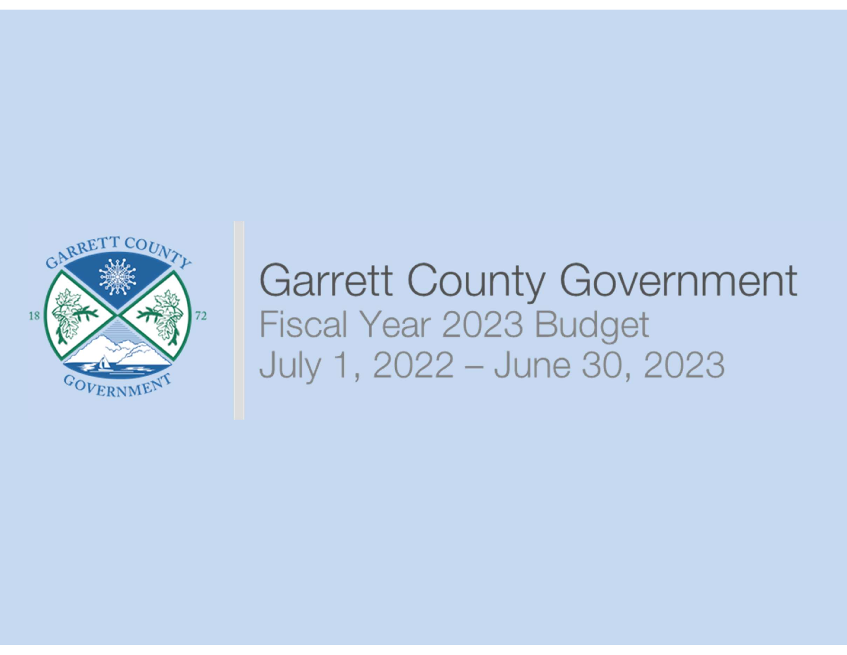

## **Garrett County Government** Fiscal Year 2023 Budget July 1, 2022 - June 30, 2023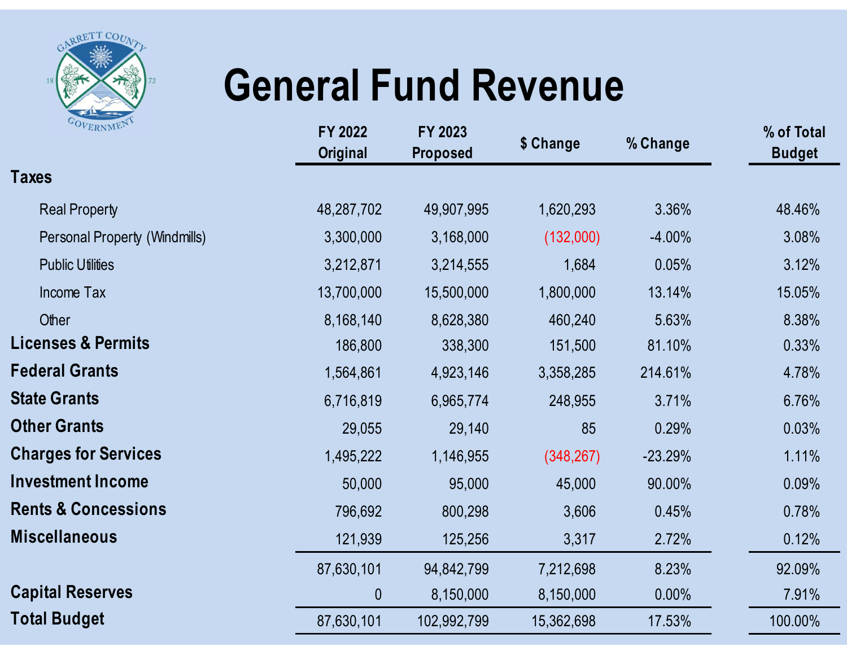

# General Fund Revenue

|                                |                            |                            | <b>General Fund Revenue</b> |           |                             |  |
|--------------------------------|----------------------------|----------------------------|-----------------------------|-----------|-----------------------------|--|
| OVERNMEN                       | FY 2022<br><b>Original</b> | FY 2023<br><b>Proposed</b> | \$ Change                   | % Change  | % of Total<br><b>Budget</b> |  |
| <b>Taxes</b>                   |                            |                            |                             |           |                             |  |
| <b>Real Property</b>           | 48,287,702                 | 49,907,995                 | 1,620,293                   | 3.36%     | 48.46%                      |  |
| Personal Property (Windmills)  | 3,300,000                  | 3,168,000                  | (132,000)                   | $-4.00%$  | 3.08%                       |  |
| <b>Public Utilities</b>        | 3,212,871                  | 3,214,555                  | 1,684                       | 0.05%     | 3.12%                       |  |
| Income Tax                     | 13,700,000                 | 15,500,000                 | 1,800,000                   | 13.14%    | 15.05%                      |  |
| Other                          | 8,168,140                  | 8,628,380                  | 460,240                     | 5.63%     | 8.38%                       |  |
| <b>Licenses &amp; Permits</b>  | 186,800                    | 338,300                    | 151,500                     | 81.10%    | 0.33%                       |  |
| <b>Federal Grants</b>          | 1,564,861                  | 4,923,146                  | 3,358,285                   | 214.61%   | 4.78%                       |  |
| <b>State Grants</b>            | 6,716,819                  | 6,965,774                  | 248,955                     | 3.71%     | 6.76%                       |  |
| <b>Other Grants</b>            | 29,055                     | 29,140                     | 85                          | 0.29%     | 0.03%                       |  |
| <b>Charges for Services</b>    | 1,495,222                  | 1,146,955                  | (348, 267)                  | $-23.29%$ | 1.11%                       |  |
| <b>Investment Income</b>       | 50,000                     | 95,000                     | 45,000                      | 90.00%    | 0.09%                       |  |
| <b>Rents &amp; Concessions</b> | 796,692                    | 800,298                    | 3,606                       | 0.45%     | 0.78%                       |  |
| <b>Miscellaneous</b>           | 121,939                    | 125,256                    | 3,317                       | 2.72%     | 0.12%                       |  |
|                                | 87,630,101                 | 94,842,799                 | 7,212,698                   | 8.23%     | 92.09%                      |  |
| <b>Capital Reserves</b>        | $\boldsymbol{0}$           | 8,150,000                  | 8,150,000                   | $0.00\%$  | 7.91%                       |  |
| <b>Total Budget</b>            | 87,630,101                 | 102,992,799                | 15,362,698                  | 17.53%    | 100.00%                     |  |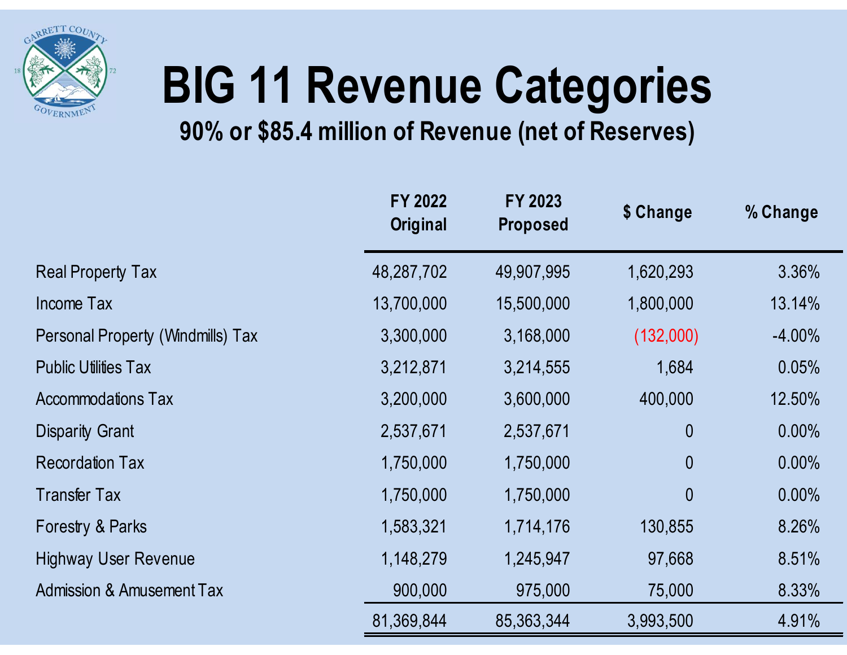

# BIG 11 Revenue Categories

## 90% or \$85.4 million of Revenue (net of Reserves)

|                                      |                            | 90% or \$85.4 million of Revenue (net of Reserves) | <b>BIG 11 Revenue Categories</b> |           |
|--------------------------------------|----------------------------|----------------------------------------------------|----------------------------------|-----------|
|                                      | FY 2022<br><b>Original</b> | FY 2023<br><b>Proposed</b>                         | \$ Change                        | % Change  |
| <b>Real Property Tax</b>             | 48,287,702                 | 49,907,995                                         | 1,620,293                        | 3.36%     |
| Income Tax                           | 13,700,000                 | 15,500,000                                         | 1,800,000                        | 13.14%    |
| Personal Property (Windmills) Tax    | 3,300,000                  | 3,168,000                                          | (132,000)                        | $-4.00\%$ |
| <b>Public Utilities Tax</b>          | 3,212,871                  | 3,214,555                                          | 1,684                            | 0.05%     |
| <b>Accommodations Tax</b>            | 3,200,000                  | 3,600,000                                          | 400,000                          | 12.50%    |
| <b>Disparity Grant</b>               | 2,537,671                  | 2,537,671                                          | $\mathbf{0}$                     | 0.00%     |
| <b>Recordation Tax</b>               | 1,750,000                  | 1,750,000                                          | $\mathbf 0$                      | 0.00%     |
| <b>Transfer Tax</b>                  | 1,750,000                  | 1,750,000                                          | $\mathbf{0}$                     | $0.00\%$  |
| Forestry & Parks                     | 1,583,321                  | 1,714,176                                          | 130,855                          | 8.26%     |
| <b>Highway User Revenue</b>          | 1,148,279                  | 1,245,947                                          | 97,668                           | 8.51%     |
| <b>Admission &amp; Amusement Tax</b> | 900,000                    | 975,000                                            | 75,000                           | 8.33%     |
|                                      |                            |                                                    |                                  |           |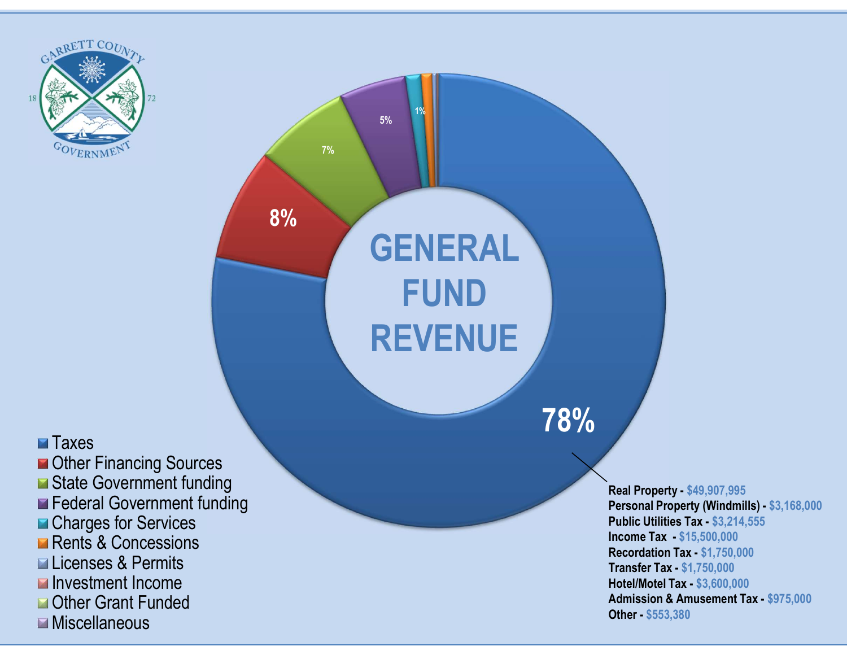



Real Property - \$49,907,995 Personal Property (Windmills) - \$3,168,000 Public Utilities Tax - \$3,214,555 Income Tax - \$15,500,000 Recordation Tax - \$1,750,000 Transfer Tax - \$1,750,000 Hotel/Motel Tax - \$3,600,000 Admission & Amusement Tax - \$975,000 Other - \$553,380

## **Taxes**

Other Financing Sources State Government funding **Federal Government funding ■ Charges for Services Rents & Concessions** Licenses & Permits Investment Income Other Grant Funded **Miscellaneous**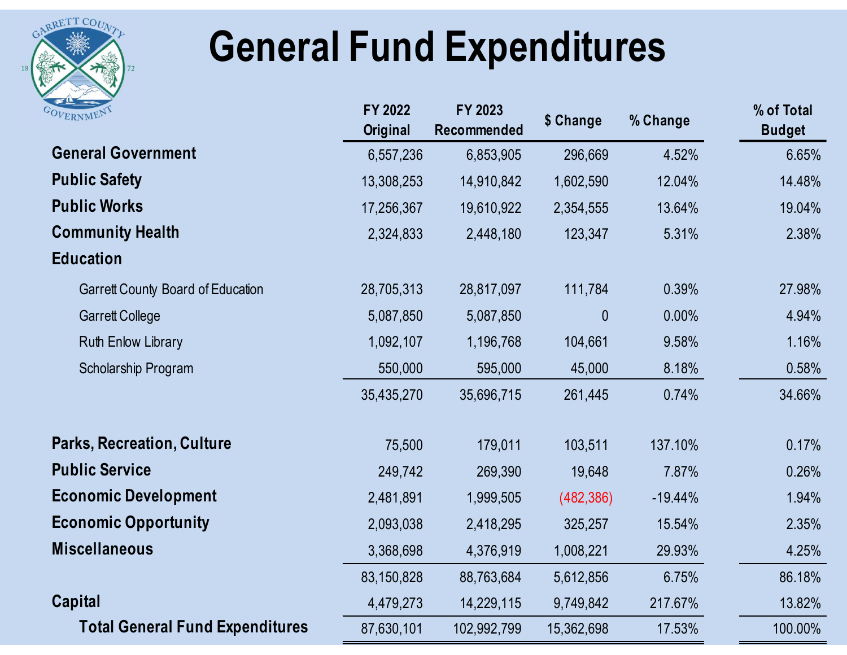

## General Fund Expenditures

| RRETT COUNT<br><b>General Fund Expenditures</b> |                            |                        |            |           |                             |
|-------------------------------------------------|----------------------------|------------------------|------------|-----------|-----------------------------|
|                                                 |                            |                        |            |           |                             |
| OVERNMEN                                        | FY 2022<br><b>Original</b> | FY 2023<br>Recommended | \$ Change  | % Change  | % of Total<br><b>Budget</b> |
| <b>General Government</b>                       | 6,557,236                  | 6,853,905              | 296,669    | 4.52%     | 6.65%                       |
| <b>Public Safety</b>                            | 13,308,253                 | 14,910,842             | 1,602,590  | 12.04%    | 14.48%                      |
| <b>Public Works</b>                             | 17,256,367                 | 19,610,922             | 2,354,555  | 13.64%    | 19.04%                      |
| <b>Community Health</b>                         | 2,324,833                  | 2,448,180              | 123,347    | 5.31%     | 2.38%                       |
| <b>Education</b>                                |                            |                        |            |           |                             |
| <b>Garrett County Board of Education</b>        | 28,705,313                 | 28,817,097             | 111,784    | 0.39%     | 27.98%                      |
| <b>Garrett College</b>                          | 5,087,850                  | 5,087,850              | $\theta$   | 0.00%     | 4.94%                       |
| Ruth Enlow Library                              | 1,092,107                  | 1,196,768              | 104,661    | 9.58%     | 1.16%                       |
| Scholarship Program                             | 550,000                    | 595,000                | 45,000     | 8.18%     | 0.58%                       |
|                                                 | 35,435,270                 | 35,696,715             | 261,445    | 0.74%     | 34.66%                      |
| <b>Parks, Recreation, Culture</b>               | 75,500                     | 179,011                | 103,511    | 137.10%   | 0.17%                       |
| <b>Public Service</b>                           | 249,742                    | 269,390                | 19,648     | 7.87%     | 0.26%                       |
| <b>Economic Development</b>                     | 2,481,891                  | 1,999,505              | (482, 386) | $-19.44%$ | 1.94%                       |
| <b>Economic Opportunity</b>                     | 2,093,038                  | 2,418,295              | 325,257    | 15.54%    | 2.35%                       |
| <b>Miscellaneous</b>                            | 3,368,698                  | 4,376,919              | 1,008,221  | 29.93%    | 4.25%                       |
|                                                 | 83,150,828                 | 88,763,684             | 5,612,856  | 6.75%     | 86.18%                      |
| Capital                                         | 4,479,273                  | 14,229,115             | 9,749,842  | 217.67%   | 13.82%                      |
| <b>Total General Fund Expenditures</b>          | 87,630,101                 | 102,992,799            | 15,362,698 | 17.53%    | 100.00%                     |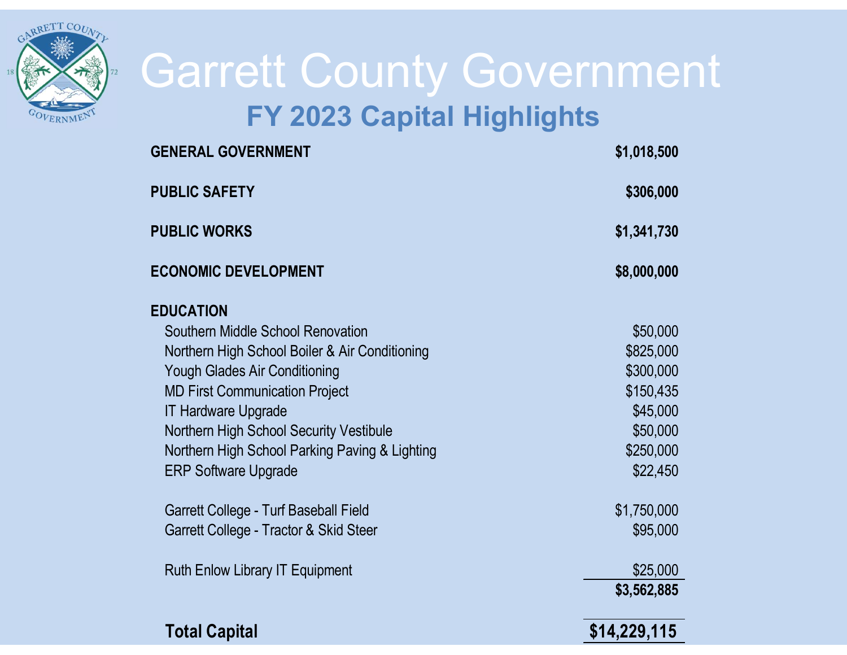

# Garrett County Government FY 2023 Capital Highlights Garrett County Government<br>FY 2023 Capital Highlights<br>FUBLIC SAFETY \$1,018,500<br>PUBLIC SAFETY \$306,000

| <b>FY 2023 Capital Highlights</b>              |              |  |  |
|------------------------------------------------|--------------|--|--|
| <b>GENERAL GOVERNMENT</b>                      | \$1,018,500  |  |  |
| <b>PUBLIC SAFETY</b>                           | \$306,000    |  |  |
| <b>PUBLIC WORKS</b>                            | \$1,341,730  |  |  |
| <b>ECONOMIC DEVELOPMENT</b>                    | \$8,000,000  |  |  |
| <b>EDUCATION</b>                               |              |  |  |
| Southern Middle School Renovation              | \$50,000     |  |  |
| Northern High School Boiler & Air Conditioning | \$825,000    |  |  |
| Yough Glades Air Conditioning                  | \$300,000    |  |  |
| <b>MD First Communication Project</b>          | \$150,435    |  |  |
| <b>IT Hardware Upgrade</b>                     | \$45,000     |  |  |
| Northern High School Security Vestibule        | \$50,000     |  |  |
| Northern High School Parking Paving & Lighting | \$250,000    |  |  |
| <b>ERP Software Upgrade</b>                    | \$22,450     |  |  |
| Garrett College - Turf Baseball Field          | \$1,750,000  |  |  |
| Garrett College - Tractor & Skid Steer         | \$95,000     |  |  |
| <b>Ruth Enlow Library IT Equipment</b>         | \$25,000     |  |  |
|                                                | \$3,562,885  |  |  |
| <b>Total Capital</b>                           | \$14,229,115 |  |  |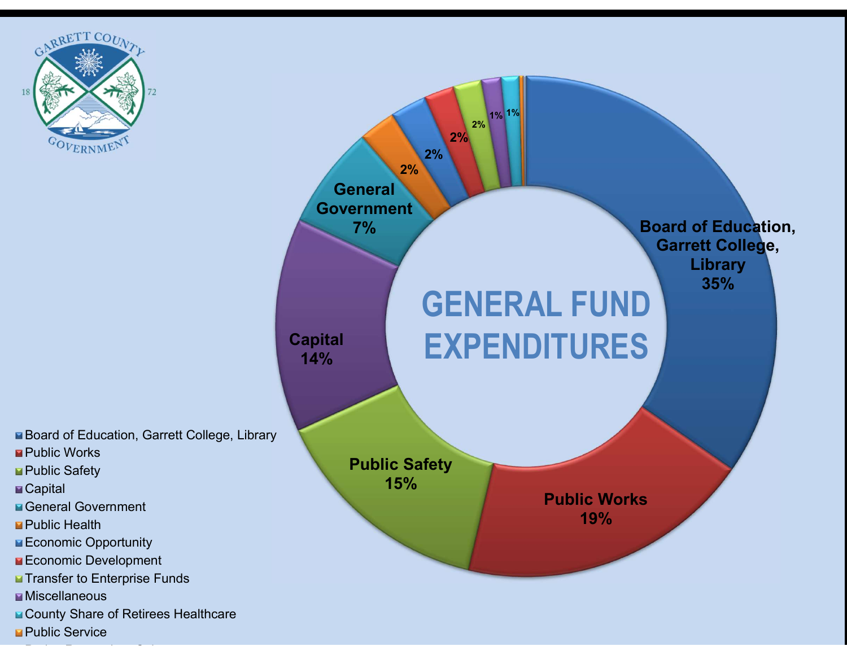



■ Board of Education, Garrett College, Library

- Public Works
- Public Safety
- Capital
- **General Government**
- Public Health
- Economic Opportunity
- Economic Development
- Transfer to Enterprise Funds
- Miscellaneous
- County Share of Retirees Healthcare
- **Public Service**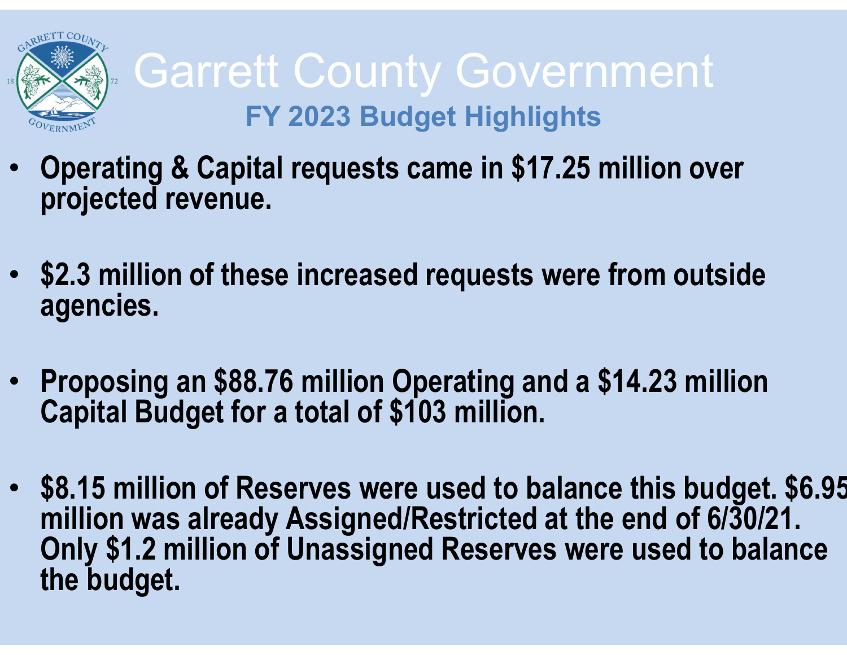

- Operating & Capital requests came in \$17.25 million over projected revenue.
- \$2.3 million of these increased requests were from outside agencies.
- Proposing an \$88.76 million Operating and a \$14.23 million Capital Budget for a total of \$103 million.
- \$8.15 million of Reserves were used to balance this budget. \$6.95 Only \$1.2 million of Unassigned Reserves were used to balance the budget.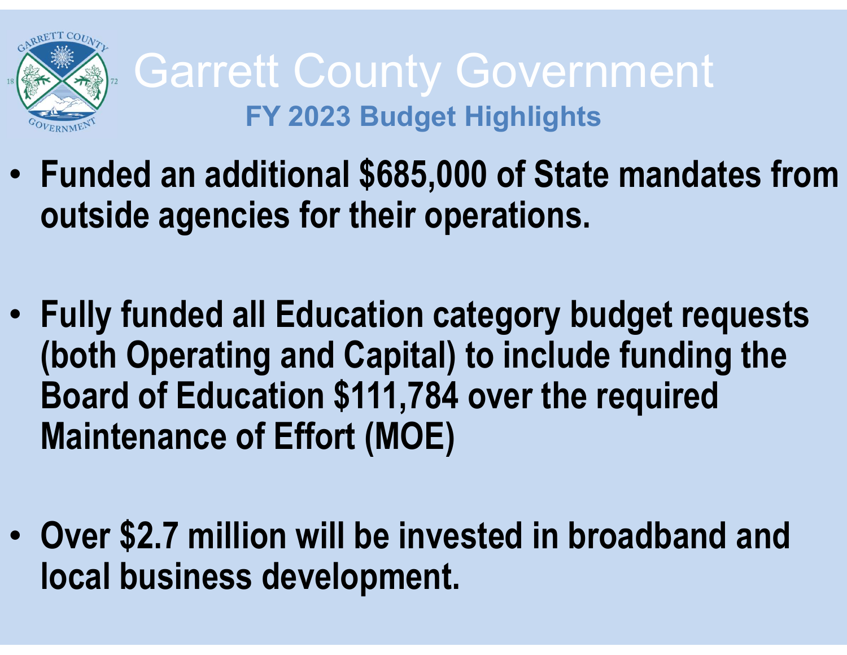

- Funded an additional \$685,000 of State mandates from outside agencies for their operations.
- Fully funded all Education category budget requests (both Operating and Capital) to include funding the Board of Education \$111,784 over the required Maintenance of Effort (MOE)
- Over \$2.7 million will be invested in broadband and local business development.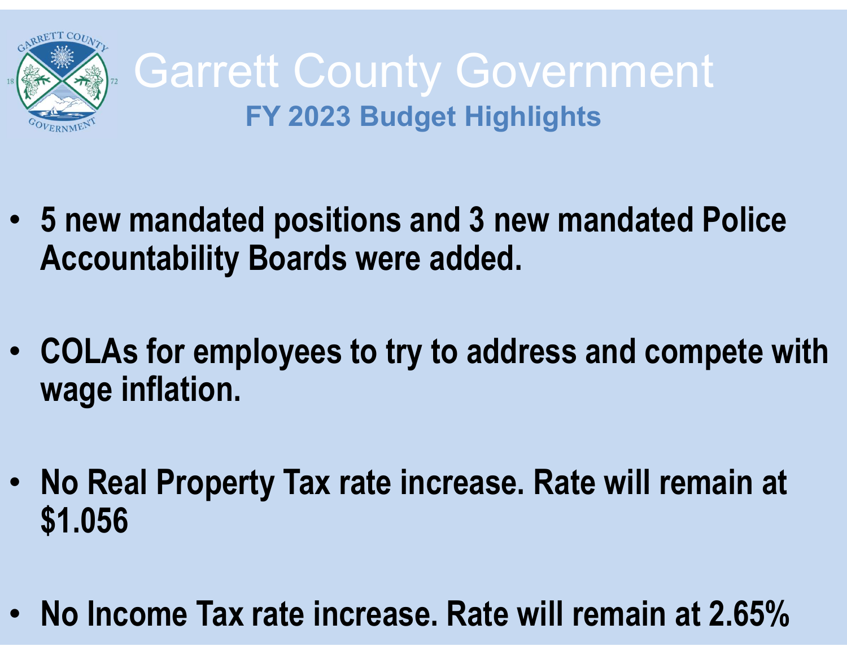

- 5 new mandated positions and 3 new mandated Police Accountability Boards were added.
- COLAs for employees to try to address and compete with wage inflation.
- No Real Property Tax rate increase. Rate will remain at \$1.056
- No Income Tax rate increase. Rate will remain at 2.65%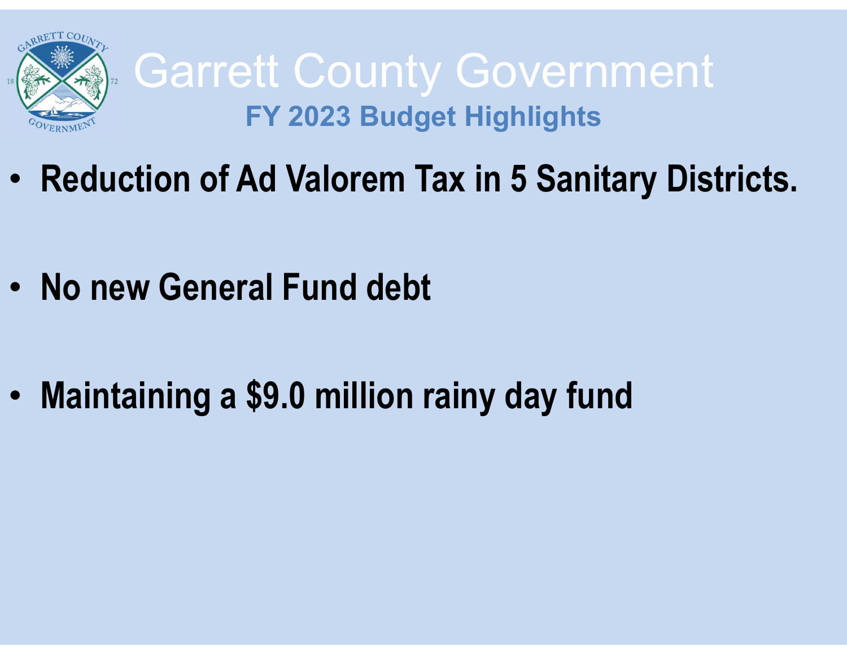

- Reduction of Ad Valorem Tax in 5 Sanitary Districts.
- No new General Fund debt
- Maintaining a \$9.0 million rainy day fund